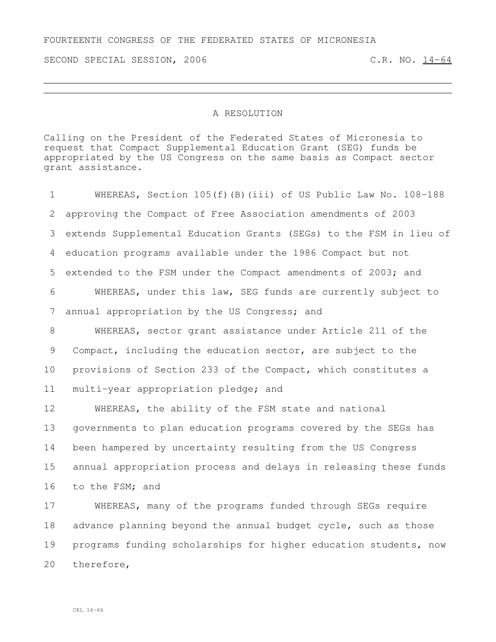FOURTEENTH CONGRESS OF THE FEDERATED STATES OF MICRONESIA

SECOND SPECIAL SESSION, 2006 C.R. NO. 14-64

## A RESOLUTION

Calling on the President of the Federated States of Micronesia to request that Compact Supplemental Education Grant (SEG) funds be appropriated by the US Congress on the same basis as Compact sector grant assistance.

 WHEREAS, Section 105(f)(B)(iii) of US Public Law No. 108-188 approving the Compact of Free Association amendments of 2003 extends Supplemental Education Grants (SEGs) to the FSM in lieu of education programs available under the 1986 Compact but not extended to the FSM under the Compact amendments of 2003; and WHEREAS, under this law, SEG funds are currently subject to annual appropriation by the US Congress; and WHEREAS, sector grant assistance under Article 211 of the Compact, including the education sector, are subject to the provisions of Section 233 of the Compact, which constitutes a multi-year appropriation pledge; and WHEREAS, the ability of the FSM state and national governments to plan education programs covered by the SEGs has been hampered by uncertainty resulting from the US Congress annual appropriation process and delays in releasing these funds to the FSM; and

 WHEREAS, many of the programs funded through SEGs require advance planning beyond the annual budget cycle, such as those programs funding scholarships for higher education students, now therefore,